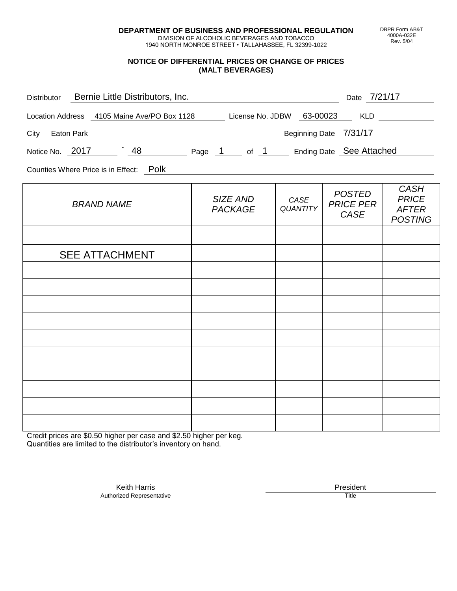**DEPARTMENT OF BUSINESS AND PROFESSIONAL REGULATION** DIVISION OF ALCOHOLIC BEVERAGES AND TOBACCO

1940 NORTH MONROE STREET • TALLAHASSEE, FL 32399-1022

### **NOTICE OF DIFFERENTIAL PRICES OR CHANGE OF PRICES (MALT BEVERAGES)**

| Bernie Little Distributors, Inc.<br>Distributor                           |                                                 |                         | Date 7/21/17                              |                                                               |
|---------------------------------------------------------------------------|-------------------------------------------------|-------------------------|-------------------------------------------|---------------------------------------------------------------|
| Location Address 4105 Maine Ave/PO Box 1128 License No. JDBW 63-00023 KLD |                                                 |                         |                                           |                                                               |
| City Eaton Park                                                           | <b>Example 21/31/17</b> Beginning Date 27/31/17 |                         |                                           |                                                               |
| Notice No. 2017 48 Page 1 of 1 Ending Date See Attached                   |                                                 |                         |                                           |                                                               |
| Counties Where Price is in Effect: Polk                                   |                                                 |                         |                                           |                                                               |
| <b>BRAND NAME</b>                                                         | SIZE AND<br><b>PACKAGE</b>                      | CASE<br><b>QUANTITY</b> | <b>POSTED</b><br><b>PRICE PER</b><br>CASE | <b>CASH</b><br><b>PRICE</b><br><b>AFTER</b><br><b>POSTING</b> |
|                                                                           |                                                 |                         |                                           |                                                               |
| <b>SEE ATTACHMENT</b>                                                     |                                                 |                         |                                           |                                                               |
|                                                                           |                                                 |                         |                                           |                                                               |
|                                                                           |                                                 |                         |                                           |                                                               |
|                                                                           |                                                 |                         |                                           |                                                               |
|                                                                           |                                                 |                         |                                           |                                                               |
|                                                                           |                                                 |                         |                                           |                                                               |
|                                                                           |                                                 |                         |                                           |                                                               |
|                                                                           |                                                 |                         |                                           |                                                               |
|                                                                           |                                                 |                         |                                           |                                                               |
|                                                                           |                                                 |                         |                                           |                                                               |

Credit prices are \$0.50 higher per case and \$2.50 higher per keg. Quantities are limited to the distributor's inventory on hand.

> Keith Harris **President** President **President** President **President** President **President** Authorized Representative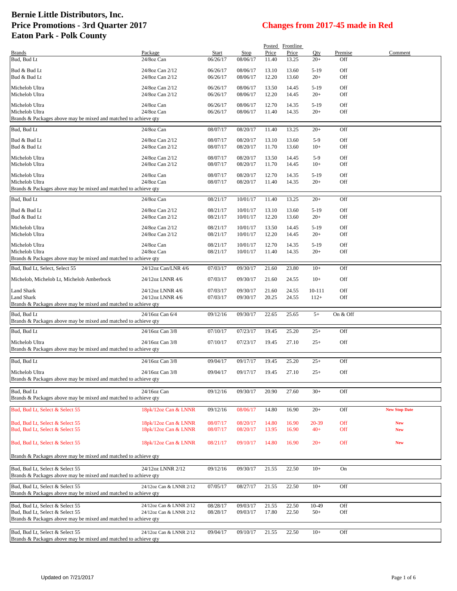|                                                                                                    |                                    |                      |                      |                | Posted Frontline |                 |                |                      |
|----------------------------------------------------------------------------------------------------|------------------------------------|----------------------|----------------------|----------------|------------------|-----------------|----------------|----------------------|
| <b>Brands</b><br>Bud, Bud Lt                                                                       | Package<br>24/8oz Can              | Start<br>06/26/17    | Stop<br>08/06/17     | Price<br>11.40 | Price<br>13.25   | Qty<br>$20+$    | Premise<br>Off | Comment              |
|                                                                                                    |                                    |                      |                      |                |                  |                 |                |                      |
| Bud & Bud Lt                                                                                       | 24/8oz Can 2/12                    | 06/26/17             | 08/06/17             | 13.10          | 13.60            | $5-19$          | Off            |                      |
| Bud & Bud Lt                                                                                       | 24/8oz Can 2/12                    | 06/26/17             | 08/06/17             | 12.20          | 13.60            | $20+$           | Off            |                      |
| Michelob Ultra                                                                                     | 24/8oz Can 2/12                    | 06/26/17             | 08/06/17             | 13.50          | 14.45            | $5-19$          | Off            |                      |
| Michelob Ultra                                                                                     | 24/8oz Can 2/12                    | 06/26/17             | 08/06/17             | 12.20          | 14.45            | $20+$           | Off            |                      |
| Michelob Ultra                                                                                     | 24/8oz Can                         | 06/26/17             | 08/06/17             | 12.70          | 14.35            | $5-19$          | Off            |                      |
| Michelob Ultra                                                                                     | 24/8oz Can                         | 06/26/17             | 08/06/17             | 11.40          | 14.35            | $20+$           | Off            |                      |
| Brands & Packages above may be mixed and matched to achieve qty                                    |                                    |                      |                      |                |                  |                 |                |                      |
| Bud, Bud Lt                                                                                        | 24/8oz Can                         | 08/07/17             | 08/20/17             | 11.40          | 13.25            | $20+$           | Off            |                      |
| Bud & Bud Lt                                                                                       | 24/8oz Can 2/12                    | 08/07/17             | 08/20/17             | 13.10          | 13.60            | $5-9$           | Off            |                      |
| Bud & Bud Lt                                                                                       | 24/8oz Can 2/12                    | 08/07/17             | 08/20/17             | 11.70          | 13.60            | $10+$           | Off            |                      |
| Michelob Ultra                                                                                     | 24/8oz Can 2/12                    | 08/07/17             | 08/20/17             | 13.50          | 14.45            | $5-9$           | Off            |                      |
| Michelob Ultra                                                                                     | 24/8oz Can 2/12                    | 08/07/17             | 08/20/17             | 11.70          | 14.45            | $10+$           | Off            |                      |
| Michelob Ultra                                                                                     | 24/8oz Can                         | 08/07/17             | 08/20/17             | 12.70          | 14.35            | $5-19$          | Off            |                      |
| Michelob Ultra                                                                                     | 24/8oz Can                         | 08/07/17             | 08/20/17             | 11.40          | 14.35            | $20+$           | Off            |                      |
| Brands & Packages above may be mixed and matched to achieve qty                                    |                                    |                      |                      |                |                  |                 |                |                      |
| Bud, Bud Lt                                                                                        | 24/8oz Can                         | 08/21/17             | 10/01/17             | 11.40          | 13.25            | $20+$           | Off            |                      |
|                                                                                                    |                                    |                      |                      |                |                  |                 |                |                      |
| Bud & Bud Lt<br>Bud & Bud Lt                                                                       | 24/8oz Can 2/12<br>24/8oz Can 2/12 | 08/21/17<br>08/21/17 | 10/01/17<br>10/01/17 | 13.10<br>12.20 | 13.60<br>13.60   | $5-19$<br>$20+$ | Off<br>Off     |                      |
|                                                                                                    |                                    |                      |                      |                |                  |                 |                |                      |
| Michelob Ultra<br>Michelob Ultra                                                                   | 24/8oz Can 2/12<br>24/8oz Can 2/12 | 08/21/17<br>08/21/17 | 10/01/17<br>10/01/17 | 13.50<br>12.20 | 14.45<br>14.45   | $5-19$<br>$20+$ | Off<br>Off     |                      |
|                                                                                                    |                                    |                      |                      |                |                  |                 |                |                      |
| Michelob Ultra                                                                                     | 24/8oz Can                         | 08/21/17             | 10/01/17             | 12.70          | 14.35            | $5-19$          | Off            |                      |
| Michelob Ultra<br>Brands & Packages above may be mixed and matched to achieve qty                  | 24/8oz Can                         | 08/21/17             | 10/01/17             | 11.40          | 14.35            | $20+$           | Off            |                      |
|                                                                                                    |                                    |                      |                      |                |                  |                 |                |                      |
| Bud, Bud Lt, Select, Select 55                                                                     | 24/12oz Can/LNR 4/6                | 07/03/17             | 09/30/17             | 21.60          | 23.80            | $10+$           | Off            |                      |
| Michelob, Michelob Lt, Michelob Amberbock                                                          | 24/12oz LNNR 4/6                   | 07/03/17             | 09/30/17             | 21.60          | 24.55            | $10+$           | Off            |                      |
| Land Shark                                                                                         | 24/12oz LNNR 4/6                   | 07/03/17             | 09/30/17             | 21.60          | 24.55            | 10-111          | Off            |                      |
| Land Shark                                                                                         | 24/12oz LNNR 4/6                   | 07/03/17             | 09/30/17             | 20.25          | 24.55            | $112+$          | Off            |                      |
| Brands & Packages above may be mixed and matched to achieve qty                                    |                                    |                      |                      |                |                  |                 |                |                      |
| Bud, Bud Lt                                                                                        | 24/16oz Can 6/4                    | 09/12/16             | 09/30/17             | 22.65          | 25.65            | $5+$            | On & Off       |                      |
| Brands & Packages above may be mixed and matched to achieve qty                                    |                                    |                      |                      |                |                  |                 |                |                      |
| Bud, Bud Lt                                                                                        | 24/16oz Can 3/8                    | 07/10/17             | 07/23/17             | 19.45          | 25.20            | $25+$           | Off            |                      |
| Michelob Ultra                                                                                     | 24/16oz Can 3/8                    | 07/10/17             | 07/23/17             | 19.45          | 27.10            | $25+$           | Off            |                      |
| Brands & Packages above may be mixed and matched to achieve qty                                    |                                    |                      |                      |                |                  |                 |                |                      |
|                                                                                                    |                                    |                      |                      |                |                  |                 |                |                      |
| Bud, Bud Lt                                                                                        | 24/16oz Can 3/8                    | 09/04/17             | 09/17/17             | 19.45          | 25.20            | $25+$           | Off            |                      |
| Michelob Ultra                                                                                     | 24/16oz Can 3/8                    | 09/04/17             | 09/17/17             | 19.45          | 27.10            | $25+$           | Off            |                      |
| Brands & Packages above may be mixed and matched to achieve qty                                    |                                    |                      |                      |                |                  |                 |                |                      |
| Bud, Bud Lt                                                                                        | 24/16oz Can                        | 09/12/16             | 09/30/17             | 20.90          | 27.60            | $30+$           | Off            |                      |
| Brands & Packages above may be mixed and matched to achieve gty                                    |                                    |                      |                      |                |                  |                 |                |                      |
| Bud, Bud Lt, Select & Select 55                                                                    | 18pk/12oz Can & LNNR               | 09/12/16             | 08/06/17             | 14.80          | 16.90            | $20+$           | Off            | <b>New Stop Date</b> |
|                                                                                                    |                                    |                      |                      |                |                  |                 |                |                      |
| Bud, Bud Lt, Select & Select 55                                                                    | 18pk/12oz Can & LNNR               | 08/07/17             | 08/20/17             | 14.80          | 16.90            | 20-39           | Off            | <b>New</b>           |
| Bud, Bud Lt, Select & Select 55                                                                    | 18pk/12oz Can & LNNR               | 08/07/17             | 08/20/17             | 13.95          | 16.90            | $40+$           | Off            | <b>New</b>           |
| Bud, Bud Lt, Select & Select 55                                                                    | 18pk/12oz Can & LNNR               | 08/21/17             | 09/10/17             | 14.80          | 16.90            | $20+$           | Off            | <b>New</b>           |
|                                                                                                    |                                    |                      |                      |                |                  |                 |                |                      |
| Brands & Packages above may be mixed and matched to achieve qty                                    |                                    |                      |                      |                |                  |                 |                |                      |
|                                                                                                    |                                    |                      |                      |                |                  |                 |                |                      |
| Bud, Bud Lt, Select & Select 55<br>Brands & Packages above may be mixed and matched to achieve qty | 24/12oz LNNR 2/12                  | 09/12/16             | 09/30/17             | 21.55          | 22.50            | $10+$           | On             |                      |
|                                                                                                    |                                    |                      |                      |                |                  |                 |                |                      |
| Bud, Bud Lt, Select & Select 55                                                                    | 24/12oz Can & LNNR 2/12            | 07/05/17             | 08/27/17             | 21.55          | 22.50            | $10+$           | Off            |                      |
| Brands & Packages above may be mixed and matched to achieve qty                                    |                                    |                      |                      |                |                  |                 |                |                      |
| Bud, Bud Lt, Select & Select 55                                                                    | 24/12oz Can & LNNR 2/12            | 08/28/17             | 09/03/17             | 21.55          | 22.50            | 10-49           | Off            |                      |
| Bud, Bud Lt, Select & Select 55                                                                    | 24/12oz Can & LNNR 2/12            | 08/28/17             | 09/03/17             | 17.80          | 22.50            | $50+$           | Off            |                      |
| Brands & Packages above may be mixed and matched to achieve qty                                    |                                    |                      |                      |                |                  |                 |                |                      |
| Bud, Bud Lt, Select & Select 55                                                                    | 24/12oz Can & LNNR 2/12            | 09/04/17             | 09/10/17             | 21.55          | 22.50            | $10+$           | Off            |                      |
| Brands & Packages above may be mixed and matched to achieve qty                                    |                                    |                      |                      |                |                  |                 |                |                      |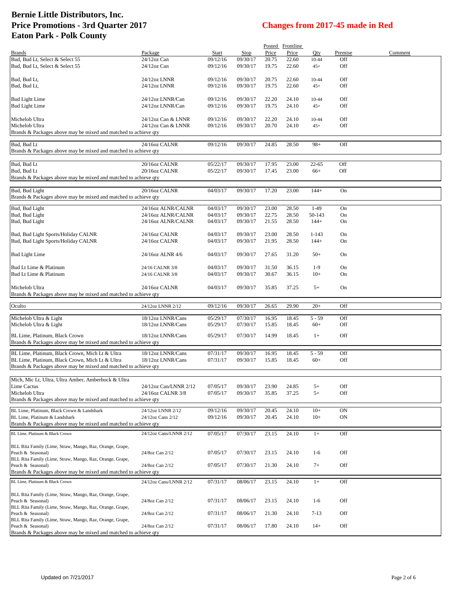|                                                                               |                        |          |          |       | Posted Frontline |           |           |         |
|-------------------------------------------------------------------------------|------------------------|----------|----------|-------|------------------|-----------|-----------|---------|
| <b>Brands</b>                                                                 | Package                | Start    | Stop     | Price | Price            | Qty       | Premise   | Comment |
| Bud, Bud Lt, Select & Select 55                                               | 24/12oz Can            | 09/12/16 | 09/30/17 | 20.75 | 22.60            | $10 - 44$ | Off       |         |
| Bud, Bud Lt, Select & Select 55                                               | 24/12oz Can            | 09/12/16 | 09/30/17 | 19.75 | 22.60            | $45+$     | Off       |         |
| Bud, Bud Lt,                                                                  | 24/12oz LNNR           | 09/12/16 | 09/30/17 | 20.75 | 22.60            | $10 - 44$ | Off       |         |
| Bud, Bud Lt,                                                                  | 24/12oz LNNR           | 09/12/16 | 09/30/17 | 19.75 | 22.60            | $45+$     | Off       |         |
|                                                                               |                        |          |          |       |                  |           |           |         |
| <b>Bud Light Lime</b>                                                         | 24/12oz LNNR/Can       | 09/12/16 | 09/30/17 | 22.20 | 24.10            | $10 - 44$ | Off       |         |
| <b>Bud Light Lime</b>                                                         | 24/12oz LNNR/Can       | 09/12/16 | 09/30/17 | 19.75 | 24.10            | $45+$     | Off       |         |
|                                                                               |                        |          |          |       |                  |           |           |         |
| Michelob Ultra                                                                | 24/12oz Can & LNNR     | 09/12/16 | 09/30/17 | 22.20 | 24.10            | $10 - 44$ | Off       |         |
| Michelob Ultra                                                                | 24/12oz Can & LNNR     | 09/12/16 | 09/30/17 | 20.70 | 24.10            | $45+$     | Off       |         |
| Brands & Packages above may be mixed and matched to achieve qty               |                        |          |          |       |                  |           |           |         |
| Bud, Bud Lt                                                                   | 24/16oz CALNR          | 09/12/16 | 09/30/17 | 24.85 | 28.50            | $98+$     | Off       |         |
| Brands & Packages above may be mixed and matched to achieve qty               |                        |          |          |       |                  |           |           |         |
|                                                                               |                        |          |          |       |                  |           |           |         |
| Bud, Bud Lt                                                                   | 20/16oz CALNR          | 05/22/17 | 09/30/17 | 17.95 | 23.00            | $22 - 65$ | Off       |         |
| Bud, Bud Lt                                                                   | 20/16oz CALNR          | 05/22/17 | 09/30/17 | 17.45 | 23.00            | $66+$     | Off       |         |
| Brands & Packages above may be mixed and matched to achieve qty               |                        |          |          |       |                  |           |           |         |
|                                                                               |                        |          |          |       |                  |           |           |         |
| Bud, Bud Light                                                                | 20/16oz CALNR          | 04/03/17 | 09/30/17 | 17.20 | 23.00            | $144+$    | On        |         |
| Brands & Packages above may be mixed and matched to achieve qty               |                        |          |          |       |                  |           |           |         |
| Bud, Bud Light                                                                | 24/16oz ALNR/CALNR     | 04/03/17 | 09/30/17 | 23.00 | 28.50            | $1-49$    | On        |         |
| Bud, Bud Light                                                                | 24/16oz ALNR/CALNR     | 04/03/17 | 09/30/17 | 22.75 | 28.50            | 50-143    | On        |         |
| Bud, Bud Light                                                                | 24/16oz ALNR/CALNR     | 04/03/17 | 09/30/17 | 21.55 | 28.50            | $144+$    | On        |         |
|                                                                               |                        |          |          |       |                  |           |           |         |
| Bud, Bud Light Sports/Holiday CALNR                                           | 24/16oz CALNR          | 04/03/17 | 09/30/17 | 23.00 | 28.50            | $1 - 143$ | On        |         |
| Bud, Bud Light Sports/Holiday CALNR                                           | 24/16oz CALNR          | 04/03/17 | 09/30/17 | 21.95 | 28.50            | $144+$    | On        |         |
|                                                                               |                        |          |          |       |                  |           |           |         |
| <b>Bud Light Lime</b>                                                         | 24/16oz ALNR 4/6       | 04/03/17 | 09/30/17 | 27.65 | 31.20            | $50+$     | On        |         |
| Bud Lt Lime & Platinum                                                        | 24/16 CALNR 3/8        | 04/03/17 | 09/30/17 | 31.50 | 36.15            | $1-9$     | On        |         |
| Bud Lt Lime & Platinum                                                        | 24/16 CALNR 3/8        | 04/03/17 | 09/30/17 | 30.67 | 36.15            | $10+$     | On        |         |
|                                                                               |                        |          |          |       |                  |           |           |         |
| Michelob Ultra                                                                | 24/16oz CALNR          | 04/03/17 | 09/30/17 | 35.85 | 37.25            | $5+$      | On        |         |
| Brands & Packages above may be mixed and matched to achieve qty               |                        |          |          |       |                  |           |           |         |
|                                                                               |                        |          |          |       |                  |           |           |         |
| Oculto                                                                        | 24/12oz LNNR 2/12      | 09/12/16 | 09/30/17 | 26.65 | 29.90            | $20+$     | Off       |         |
| Michelob Ultra & Light                                                        | 18/12oz LNNR/Cans      | 05/29/17 | 07/30/17 | 16.95 | 18.45            | $5 - 59$  | Off       |         |
| Michelob Ultra & Light                                                        | 18/12oz LNNR/Cans      | 05/29/17 | 07/30/17 | 15.85 | 18.45            | $60+$     | Off       |         |
|                                                                               |                        |          |          |       |                  |           |           |         |
| BL Lime, Platinum, Black Crown                                                | 18/12oz LNNR/Cans      | 05/29/17 | 07/30/17 | 14.99 | 18.45            | $1+$      | Off       |         |
| Brands & Packages above may be mixed and matched to achieve qty               |                        |          |          |       |                  |           |           |         |
| BL Lime, Platinum, Black Crown, Mich Lt & Ultra                               | 18/12oz LNNR/Cans      |          |          |       |                  |           |           |         |
| BL Lime, Platinum, Black Crown, Mich Lt & Ultra                               |                        | 07/31/17 | 09/30/17 | 16.95 | 18.45            | $5 - 59$  | Off       |         |
|                                                                               | 18/12oz LNNR/Cans      | 07/31/17 | 09/30/17 | 15.85 | 18.45            | $60+$     | Off       |         |
| Brands & Packages above may be mixed and matched to achieve qty               |                        |          |          |       |                  |           |           |         |
|                                                                               |                        |          |          |       |                  |           |           |         |
| Mich, Mic Lt, Ultra, Ultra Amber, Amberbock & Ultra                           |                        |          |          |       |                  |           |           |         |
| Lime Cactus                                                                   | 24/12oz Can/LNNR 2/12  | 07/05/17 | 09/30/17 | 23.90 | 24.85            | $5+$      | Off       |         |
| Michelob Ultra                                                                | 24/16oz CALNR 3/8      | 07/05/17 | 09/30/17 | 35.85 | 37.25            | $5+$      | Off       |         |
| Brands & Packages above may be mixed and matched to achieve qty               |                        |          |          |       |                  |           |           |         |
| BL Lime, Platinum, Black Crown & Landshark                                    | 24/12oz LNNR 2/12      | 09/12/16 | 09/30/17 | 20.45 | 24.10            | $10+$     | <b>ON</b> |         |
| BL Lime, Platinum & Landshark                                                 | 24/12oz Cans 2/12      | 09/12/16 | 09/30/17 | 20.45 | 24.10            | $10+$     | ON        |         |
| Brands & Packages above may be mixed and matched to achieve qty               |                        |          |          |       |                  |           |           |         |
| BL Lime, Platinum & Black Crown                                               |                        |          |          |       |                  | $1+$      |           |         |
|                                                                               | 24/12oz Cans/LNNR 2/12 | 07/05/17 | 07/30/17 | 23.15 | 24.10            |           | Off       |         |
| BLL Rita Family (Lime, Straw, Mango, Raz, Orange, Grape,                      |                        |          |          |       |                  |           |           |         |
| Peach & Seasonal)                                                             | 24/8oz Can 2/12        | 07/05/17 | 07/30/17 | 23.15 | 24.10            | $1-6$     | Off       |         |
| BLL Rita Family (Lime, Straw, Mango, Raz, Orange, Grape,                      |                        |          |          |       |                  |           |           |         |
| Peach & Seasonal)                                                             | 24/8oz Can 2/12        | 07/05/17 | 07/30/17 | 21.30 | 24.10            | $7+$      | Off       |         |
| Brands & Packages above may be mixed and matched to achieve qty               |                        |          |          |       |                  |           |           |         |
| BL Lime, Platinum & Black Crown                                               | 24/12oz Cans/LNNR 2/12 | 07/31/17 | 08/06/17 | 23.15 | 24.10            | $1+$      | Off       |         |
|                                                                               |                        |          |          |       |                  |           |           |         |
| BLL Rita Family (Lime, Straw, Mango, Raz, Orange, Grape,                      |                        |          |          |       |                  |           |           |         |
| Peach & Seasonal)                                                             | 24/8oz Can 2/12        | 07/31/17 | 08/06/17 | 23.15 | 24.10            | $1-6$     | Off       |         |
| BLL Rita Family (Lime, Straw, Mango, Raz, Orange, Grape,<br>Peach & Seasonal) | 24/8oz Can 2/12        |          |          | 21.30 | 24.10            | $7-13$    | Off       |         |
| BLL Rita Family (Lime, Straw, Mango, Raz, Orange, Grape,                      |                        | 07/31/17 | 08/06/17 |       |                  |           |           |         |
| Peach & Seasonal)                                                             | 24/8oz Can 2/12        | 07/31/17 | 08/06/17 | 17.80 | 24.10            | $14+$     | Off       |         |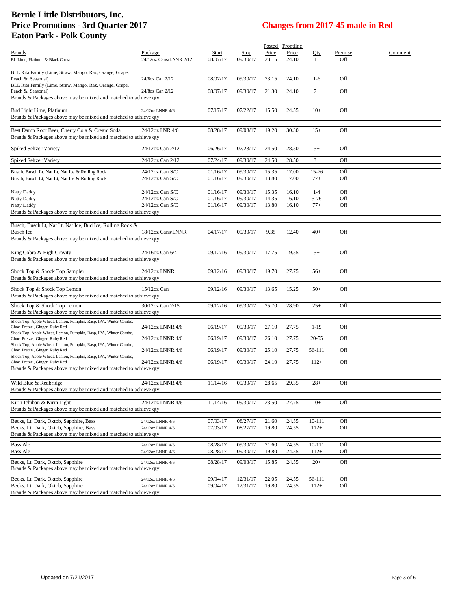|                                                                                                     |                                    |                      |                      |                | Posted Frontline |                |            |         |
|-----------------------------------------------------------------------------------------------------|------------------------------------|----------------------|----------------------|----------------|------------------|----------------|------------|---------|
| <b>Brands</b>                                                                                       | Package                            | Start                | Stop                 | Price          | Price            | Qty            | Premise    | Comment |
| BL Lime, Platinum & Black Crown                                                                     | 24/12oz Cans/LNNR 2/12             | 08/07/17             | 09/30/17             | 23.15          | 24.10            | $1+$           | Off        |         |
| BLL Rita Family (Lime, Straw, Mango, Raz, Orange, Grape,                                            |                                    |                      |                      |                |                  |                |            |         |
| Peach & Seasonal)                                                                                   | 24/8oz Can 2/12                    | 08/07/17             | 09/30/17             | 23.15          | 24.10            | $1-6$          | Off        |         |
| BLL Rita Family (Lime, Straw, Mango, Raz, Orange, Grape,                                            |                                    |                      |                      |                |                  |                |            |         |
| Peach & Seasonal)<br>Brands & Packages above may be mixed and matched to achieve qty                | 24/8oz Can 2/12                    | 08/07/17             | 09/30/17             | 21.30          | 24.10            | $7+$           | Off        |         |
|                                                                                                     |                                    |                      |                      |                |                  |                |            |         |
| Bud Light Lime, Platinum                                                                            | 24/12oz LNNR 4/6                   | 07/17/17             | 07/22/17             | 15.50          | 24.55            | $10+$          | Off        |         |
| Brands & Packages above may be mixed and matched to achieve qty                                     |                                    |                      |                      |                |                  |                |            |         |
| Best Damn Root Beer, Cherry Cola & Cream Soda                                                       | 24/12oz LNR 4/6                    | 08/28/17             | 09/03/17             | 19.20          | 30.30            | $15+$          | Off        |         |
| Brands & Packages above may be mixed and matched to achieve qty                                     |                                    |                      |                      |                |                  |                |            |         |
|                                                                                                     |                                    |                      |                      |                |                  |                |            |         |
| <b>Spiked Seltzer Variety</b>                                                                       | 24/12oz Can 2/12                   | 06/26/17             | 07/23/17             | 24.50          | 28.50            | $5+$           | Off        |         |
| Spiked Seltzer Variety                                                                              | 24/12oz Can 2/12                   | 07/24/17             | 09/30/17             | 24.50          | 28.50            | $3+$           | Off        |         |
|                                                                                                     |                                    |                      |                      |                |                  |                |            |         |
| Busch, Busch Lt, Nat Lt, Nat Ice & Rolling Rock<br>Busch, Busch Lt, Nat Lt, Nat Ice & Rolling Rock  | 24/12oz Can S/C<br>24/12oz Can S/C | 01/16/17<br>01/16/17 | 09/30/17<br>09/30/17 | 15.35<br>13.80 | 17.00<br>17.00   | 15-76<br>$77+$ | Off<br>Off |         |
|                                                                                                     |                                    |                      |                      |                |                  |                |            |         |
| Natty Daddy                                                                                         | 24/12oz Can S/C                    | 01/16/17             | 09/30/17             | 15.35          | 16.10            | $1-4$          | Off        |         |
| <b>Natty Daddy</b>                                                                                  | 24/12oz Can S/C                    | 01/16/17             | 09/30/17             | 14.35          | 16.10            | $5-76$         | Off        |         |
| Natty Daddy                                                                                         | 24/12oz Can S/C                    | 01/16/17             | 09/30/17             | 13.80          | 16.10            | $77+$          | Off        |         |
| Brands & Packages above may be mixed and matched to achieve qty                                     |                                    |                      |                      |                |                  |                |            |         |
|                                                                                                     |                                    |                      |                      |                |                  |                |            |         |
| Busch, Busch Lt, Nat Lt, Nat Ice, Bud Ice, Rolling Rock &                                           |                                    |                      |                      |                |                  |                |            |         |
| <b>Busch Ice</b><br>Brands & Packages above may be mixed and matched to achieve qty                 | 18/12oz Cans/LNNR                  | 04/17/17             | 09/30/17             | 9.35           | 12.40            | $40+$          | Off        |         |
|                                                                                                     |                                    |                      |                      |                |                  |                |            |         |
| King Cobra & High Gravity                                                                           | 24/16oz Can 6/4                    | 09/12/16             | 09/30/17             | 17.75          | 19.55            | $5+$           | Off        |         |
| Brands & Packages above may be mixed and matched to achieve qty                                     |                                    |                      |                      |                |                  |                |            |         |
|                                                                                                     |                                    |                      |                      |                |                  |                |            |         |
| Shock Top & Shock Top Sampler                                                                       | 24/12oz LNNR                       | 09/12/16             | 09/30/17             | 19.70          | 27.75            | $56+$          | Off        |         |
| Brands & Packages above may be mixed and matched to achieve qty                                     |                                    |                      |                      |                |                  |                |            |         |
| Shock Top & Shock Top Lemon                                                                         | 15/12oz Can                        | 09/12/16             | 09/30/17             | 13.65          | 15.25            | $50+$          | Off        |         |
| Brands & Packages above may be mixed and matched to achieve qty                                     |                                    |                      |                      |                |                  |                |            |         |
| Shock Top & Shock Top Lemon                                                                         | 30/12oz Can 2/15                   | 09/12/16             | 09/30/17             | 25.70          | 28.90            | $25+$          | Off        |         |
| Brands & Packages above may be mixed and matched to achieve qty                                     |                                    |                      |                      |                |                  |                |            |         |
| Shock Top, Apple Wheat, Lemon, Pumpkin, Rasp, IPA, Winter Combo,                                    |                                    |                      |                      |                |                  |                |            |         |
| Choc, Pretzel, Ginger, Ruby Red                                                                     | 24/12oz LNNR 4/6                   | 06/19/17             | 09/30/17             | 27.10          | 27.75            | $1-19$         | Off        |         |
| Shock Top, Apple Wheat, Lemon, Pumpkin, Rasp, IPA, Winter Combo,<br>Choc, Pretzel, Ginger, Ruby Red | 24/12oz LNNR 4/6                   | 06/19/17             | 09/30/17             | 26.10          | 27.75            | 20-55          | Off        |         |
| Shock Top, Apple Wheat, Lemon, Pumpkin, Rasp, IPA, Winter Combo,                                    |                                    |                      |                      |                |                  |                |            |         |
| Choc, Pretzel, Ginger, Ruby Red                                                                     | 24/12oz LNNR 4/6                   | 06/19/17             | 09/30/17             | 25.10          | 27.75            | 56-111         | Off        |         |
| Shock Top, Apple Wheat, Lemon, Pumpkin, Rasp, IPA, Winter Combo,<br>Choc, Pretzel, Ginger, Ruby Red | 24/12oz LNNR 4/6                   | 06/19/17             | 09/30/17             | 24.10          | 27.75            | $112+$         | Off        |         |
| Brands & Packages above may be mixed and matched to achieve qty                                     |                                    |                      |                      |                |                  |                |            |         |
|                                                                                                     |                                    |                      |                      |                |                  |                |            |         |
| Wild Blue & Redbridge                                                                               | 24/12oz LNNR 4/6                   | 11/14/16             | 09/30/17             | 28.65          | 29.35            | $28+$          | Off        |         |
| Brands & Packages above may be mixed and matched to achieve qty                                     |                                    |                      |                      |                |                  |                |            |         |
| Kirin Ichiban & Kirin Light                                                                         | 24/12oz LNNR 4/6                   | 11/14/16             | 09/30/17             | 23.50          | 27.75            | $10+$          | Off        |         |
| Brands & Packages above may be mixed and matched to achieve qty                                     |                                    |                      |                      |                |                  |                |            |         |
|                                                                                                     |                                    |                      |                      |                |                  |                |            |         |
| Becks, Lt, Dark, Oktob, Sapphire, Bass                                                              | 24/12oz LNNR 4/6                   | 07/03/17             | 08/27/17             | 21.60          | 24.55            | 10-111         | Off        |         |
| Becks, Lt, Dark, Oktob, Sapphire, Bass                                                              | 24/12oz LNNR 4/6                   | 07/03/17             | 08/27/17             | 19.80          | 24.55            | $112+$         | Off        |         |
| Brands & Packages above may be mixed and matched to achieve qty                                     |                                    |                      |                      |                |                  |                |            |         |
| <b>Bass Ale</b>                                                                                     | 24/12oz LNNR 4/6                   | 08/28/17             | 09/30/17             | 21.60          | 24.55            | 10-111         | Off        |         |
| <b>Bass Ale</b>                                                                                     | 24/12oz LNNR 4/6                   | 08/28/17             | 09/30/17             | 19.80          | 24.55            | $112+$         | Off        |         |
| Becks, Lt, Dark, Oktob, Sapphire                                                                    | 24/12oz LNNR 4/6                   | 08/28/17             | 09/03/17             | 15.85          | 24.55            | $20+$          | Off        |         |
| Brands & Packages above may be mixed and matched to achieve qty                                     |                                    |                      |                      |                |                  |                |            |         |
| Becks, Lt, Dark, Oktob, Sapphire                                                                    | 24/12oz LNNR 4/6                   | 09/04/17             | 12/31/17             | 22.05          | 24.55            | 56-111         | Off        |         |
| Becks, Lt, Dark, Oktob, Sapphire                                                                    | 24/12oz LNNR 4/6                   | 09/04/17             | 12/31/17             | 19.80          | 24.55            | $112+$         | Off        |         |
| Brands & Packages above may be mixed and matched to achieve qty                                     |                                    |                      |                      |                |                  |                |            |         |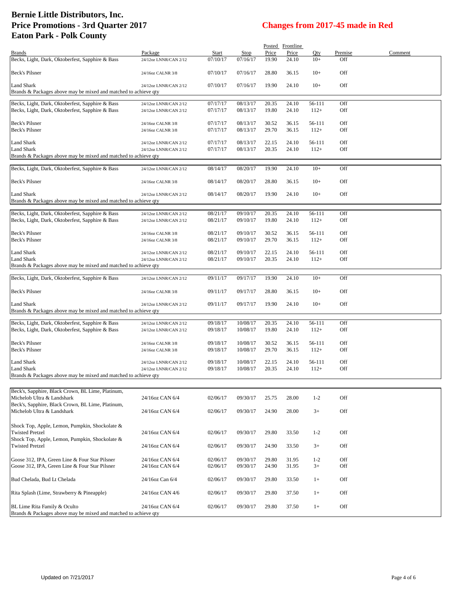|                                                                 |                       |          |          |       | Posted Frontline |         |         |         |
|-----------------------------------------------------------------|-----------------------|----------|----------|-------|------------------|---------|---------|---------|
| <b>Brands</b>                                                   | Package               | Start    | Stop     | Price | Price            | Qty     | Premise | Comment |
| Becks, Light, Dark, Oktoberfest, Sapphire & Bass                | 24/12oz LNNR/CAN 2/12 | 07/10/17 | 07/16/17 | 19.90 | 24.10            | $10+$   | Off     |         |
| Beck's Pilsner                                                  | 24/16oz CALNR 3/8     | 07/10/17 | 07/16/17 | 28.80 | 36.15            | $10+$   | Off     |         |
| Land Shark                                                      | 24/12oz LNNR/CAN 2/12 | 07/10/17 | 07/16/17 | 19.90 | 24.10            | $10+$   | Off     |         |
| Brands & Packages above may be mixed and matched to achieve qty |                       |          |          |       |                  |         |         |         |
|                                                                 |                       |          |          |       |                  |         |         |         |
| Becks, Light, Dark, Oktoberfest, Sapphire & Bass                | 24/12oz LNNR/CAN 2/12 | 07/17/17 | 08/13/17 | 20.35 | 24.10            | 56-111  | Off     |         |
| Becks, Light, Dark, Oktoberfest, Sapphire & Bass                | 24/12oz LNNR/CAN 2/12 | 07/17/17 | 08/13/17 | 19.80 | 24.10            | $112+$  | Off     |         |
|                                                                 |                       |          |          |       |                  |         |         |         |
| Beck's Pilsner                                                  | 24/16oz CALNR 3/8     | 07/17/17 | 08/13/17 | 30.52 | 36.15            | 56-111  | Off     |         |
| Beck's Pilsner                                                  | 24/16oz CALNR 3/8     | 07/17/17 | 08/13/17 | 29.70 | 36.15            | $112+$  | Off     |         |
|                                                                 |                       |          |          |       |                  |         |         |         |
| Land Shark                                                      | 24/12oz LNNR/CAN 2/12 | 07/17/17 | 08/13/17 | 22.15 | 24.10            | 56-111  | Off     |         |
| <b>Land Shark</b>                                               | 24/12oz LNNR/CAN 2/12 | 07/17/17 | 08/13/17 | 20.35 | 24.10            | $112+$  | Off     |         |
| Brands & Packages above may be mixed and matched to achieve qty |                       |          |          |       |                  |         |         |         |
| Becks, Light, Dark, Oktoberfest, Sapphire & Bass                | 24/12oz LNNR/CAN 2/12 | 08/14/17 | 08/20/17 | 19.90 | 24.10            | $10+$   | Off     |         |
|                                                                 |                       |          |          |       |                  |         |         |         |
| Beck's Pilsner                                                  | 24/16oz CALNR 3/8     | 08/14/17 | 08/20/17 | 28.80 | 36.15            | $10+$   | Off     |         |
|                                                                 |                       |          |          |       |                  |         |         |         |
| Land Shark                                                      | 24/12oz LNNR/CAN 2/12 | 08/14/17 | 08/20/17 | 19.90 | 24.10            | $10+$   | Off     |         |
| Brands & Packages above may be mixed and matched to achieve qty |                       |          |          |       |                  |         |         |         |
| Becks, Light, Dark, Oktoberfest, Sapphire & Bass                | 24/12oz LNNR/CAN 2/12 | 08/21/17 | 09/10/17 | 20.35 | 24.10            | 56-111  | Off     |         |
| Becks, Light, Dark, Oktoberfest, Sapphire & Bass                | 24/12oz LNNR/CAN 2/12 | 08/21/17 | 09/10/17 | 19.80 | 24.10            | $112+$  | Off     |         |
|                                                                 |                       |          |          |       |                  |         |         |         |
| Beck's Pilsner                                                  | 24/16oz CALNR 3/8     | 08/21/17 | 09/10/17 | 30.52 | 36.15            | 56-111  | Off     |         |
| Beck's Pilsner                                                  | 24/16oz CALNR 3/8     | 08/21/17 | 09/10/17 | 29.70 | 36.15            | $112+$  | Off     |         |
|                                                                 |                       |          |          |       |                  |         |         |         |
| Land Shark                                                      | 24/12oz LNNR/CAN 2/12 | 08/21/17 | 09/10/17 | 22.15 | 24.10            | 56-111  | Off     |         |
| Land Shark                                                      | 24/12oz LNNR/CAN 2/12 | 08/21/17 | 09/10/17 | 20.35 | 24.10            | $112+$  | Off     |         |
| Brands & Packages above may be mixed and matched to achieve qty |                       |          |          |       |                  |         |         |         |
|                                                                 |                       |          |          |       |                  |         |         |         |
| Becks, Light, Dark, Oktoberfest, Sapphire & Bass                | 24/12oz LNNR/CAN 2/12 | 09/11/17 | 09/17/17 | 19.90 | 24.10            | $10+$   | Off     |         |
|                                                                 |                       |          |          |       |                  |         |         |         |
| Beck's Pilsner                                                  | 24/16oz CALNR 3/8     | 09/11/17 | 09/17/17 | 28.80 | 36.15            | $10+$   | Off     |         |
|                                                                 |                       |          |          |       |                  |         |         |         |
| Land Shark                                                      | 24/12oz LNNR/CAN 2/12 | 09/11/17 | 09/17/17 | 19.90 | 24.10            | $10+$   | Off     |         |
| Brands & Packages above may be mixed and matched to achieve qty |                       |          |          |       |                  |         |         |         |
| Becks, Light, Dark, Oktoberfest, Sapphire & Bass                | 24/12oz LNNR/CAN 2/12 | 09/18/17 | 10/08/17 | 20.35 | 24.10            | 56-111  | Off     |         |
| Becks, Light, Dark, Oktoberfest, Sapphire & Bass                | 24/12oz LNNR/CAN 2/12 | 09/18/17 | 10/08/17 | 19.80 | 24.10            | $112+$  | Off     |         |
|                                                                 |                       |          |          |       |                  |         |         |         |
| Beck's Pilsner                                                  | 24/16oz CALNR 3/8     | 09/18/17 | 10/08/17 | 30.52 | 36.15            | 56-111  | Off     |         |
| Beck's Pilsner                                                  | 24/16oz CALNR 3/8     | 09/18/17 | 10/08/17 | 29.70 | 36.15            | $112+$  | Off     |         |
|                                                                 |                       |          |          |       |                  |         |         |         |
| Land Shark                                                      | 24/12oz LNNR/CAN 2/12 | 09/18/17 | 10/08/17 | 22.15 | 24.10            | 56-111  | Off     |         |
| Land Shark                                                      | 24/12oz LNNR/CAN 2/12 | 09/18/17 | 10/08/17 | 20.35 | 24.10            | $112+$  | Off     |         |
| Brands & Packages above may be mixed and matched to achieve qty |                       |          |          |       |                  |         |         |         |
|                                                                 |                       |          |          |       |                  |         |         |         |
| Beck's, Sapphire, Black Crown, BL Lime, Platinum,               |                       |          |          |       |                  |         |         |         |
| Michelob Ultra & Landshark                                      | 24/16oz CAN 6/4       | 02/06/17 | 09/30/17 | 25.75 | 28.00            | $1 - 2$ | Off     |         |
| Beck's, Sapphire, Black Crown, BL Lime, Platinum,               |                       |          |          |       |                  |         |         |         |
| Michelob Ultra & Landshark                                      | 24/16oz CAN 6/4       | 02/06/17 | 09/30/17 | 24.90 | 28.00            | $3+$    | Off     |         |
|                                                                 |                       |          |          |       |                  |         |         |         |
| Shock Top, Apple, Lemon, Pumpkin, Shockolate &                  |                       |          |          |       |                  |         |         |         |
| <b>Twisted Pretzel</b>                                          | 24/16oz CAN 6/4       | 02/06/17 | 09/30/17 | 29.80 | 33.50            | $1-2$   | Off     |         |
| Shock Top, Apple, Lemon, Pumpkin, Shockolate &                  |                       |          |          |       |                  |         |         |         |
| <b>Twisted Pretzel</b>                                          | 24/16oz CAN 6/4       | 02/06/17 | 09/30/17 | 24.90 | 33.50            | $3+$    | Off     |         |
|                                                                 |                       |          |          |       |                  |         |         |         |
| Goose 312, IPA, Green Line & Four Star Pilsner                  | 24/16oz CAN 6/4       | 02/06/17 | 09/30/17 | 29.80 | 31.95            | $1-2$   | Off     |         |
| Goose 312, IPA, Green Line & Four Star Pilsner                  | 24/16oz CAN 6/4       | 02/06/17 | 09/30/17 | 24.90 | 31.95            | $3+$    | Off     |         |
|                                                                 |                       |          |          |       |                  |         |         |         |
| Bud Chelada, Bud Lt Chelada                                     | 24/16oz Can 6/4       | 02/06/17 | 09/30/17 | 29.80 | 33.50            | $1+$    | Off     |         |
|                                                                 |                       |          |          |       |                  |         |         |         |
| Rita Splash (Lime, Strawberry & Pineapple)                      | 24/16oz CAN 4/6       | 02/06/17 | 09/30/17 | 29.80 | 37.50            | $1+$    | Off     |         |
|                                                                 |                       |          |          |       |                  |         |         |         |
| BL Lime Rita Family & Oculto                                    | 24/16oz CAN 6/4       | 02/06/17 | 09/30/17 | 29.80 | 37.50            | $1+$    | Off     |         |
| Brands & Packages above may be mixed and matched to achieve qty |                       |          |          |       |                  |         |         |         |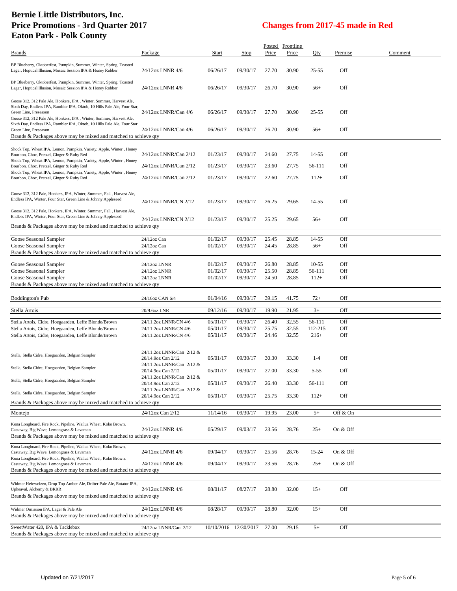| <b>Brands</b>                                                                                                                                                                                                                                    | Package                                         | Start                | Stop                  | Price          | Posted Frontline<br>Price | Qty               | Premise    | Comment |
|--------------------------------------------------------------------------------------------------------------------------------------------------------------------------------------------------------------------------------------------------|-------------------------------------------------|----------------------|-----------------------|----------------|---------------------------|-------------------|------------|---------|
| BP Blueberry, Oktoberfest, Pumpkin, Summer, Winter, Spring, Toasted                                                                                                                                                                              |                                                 |                      |                       |                |                           |                   |            |         |
| Lager, Hoptical Illusion, Mosaic Session IPA & Honey Robber                                                                                                                                                                                      | 24/12oz LNNR 4/6                                | 06/26/17             | 09/30/17              | 27.70          | 30.90                     | 25-55             | Off        |         |
| BP Blueberry, Oktoberfest, Pumpkin, Summer, Winter, Spring, Toasted<br>Lager, Hoptical Illusion, Mosaic Session IPA & Honey Robber                                                                                                               | 24/12oz LNNR 4/6                                | 06/26/17             | 09/30/17              | 26.70          | 30.90                     | $56+$             | Off        |         |
| Goose 312, 312 Pale Ale, Honkers, IPA, Winter, Summer, Harvest Ale,<br>Sixth Day, Endless IPA, Rambler IPA, Oktob, 10 Hills Pale Ale, Four Star,<br>Green Line, Preseason<br>Goose 312, 312 Pale Ale, Honkers, IPA, Winter, Summer, Harvest Ale, | 24/12oz LNNR/Can 4/6                            | 06/26/17             | 09/30/17              | 27.70          | 30.90                     | 25-55             | Off        |         |
| Sixth Day, Endless IPA, Rambler IPA, Oktob, 10 Hills Pale Ale, Four Star,<br>Green Line, Preseason<br>Brands & Packages above may be mixed and matched to achieve qty                                                                            | 24/12oz LNNR/Can 4/6                            | 06/26/17             | 09/30/17              | 26.70          | 30.90                     | $56+$             | Off        |         |
|                                                                                                                                                                                                                                                  |                                                 |                      |                       |                |                           |                   |            |         |
| Shock Top, Wheat IPA, Lemon, Pumpkin, Variety, Apple, Winter, Honey<br>Bourbon, Choc, Pretzel, Ginger & Ruby Red<br>Shock Top, Wheat IPA, Lemon, Pumpkin, Variety, Apple, Winter, Honey                                                          | 24/12oz LNNR/Can 2/12                           | 01/23/17             | 09/30/17              | 24.60          | 27.75                     | 14-55             | Off        |         |
| Bourbon, Choc, Pretzel, Ginger & Ruby Red                                                                                                                                                                                                        | 24/12oz LNNR/Can 2/12                           | 01/23/17             | 09/30/17              | 23.60          | 27.75                     | 56-111            | Off        |         |
| Shock Top, Wheat IPA, Lemon, Pumpkin, Variety, Apple, Winter, Honey<br>Bourbon, Choc, Pretzel, Ginger & Ruby Red                                                                                                                                 | 24/12oz LNNR/Can 2/12                           | 01/23/17             | 09/30/17              | 22.60          | 27.75                     | $112+$            | Off        |         |
| Goose 312, 312 Pale, Honkers, IPA, Winter, Summer, Fall, Harvest Ale,                                                                                                                                                                            |                                                 |                      |                       |                |                           |                   |            |         |
| Endless IPA, Winter, Four Star, Green Line & Johnny Appleseed                                                                                                                                                                                    | 24/12oz LNNR/CN 2/12                            | 01/23/17             | 09/30/17              | 26.25          | 29.65                     | 14-55             | Off        |         |
| Goose 312, 312 Pale, Honkers, IPA, Winter, Summer, Fall, Harvest Ale,<br>Endless IPA, Winter, Four Star, Green Line & Johnny Appleseed                                                                                                           | 24/12oz LNNR/CN 2/12                            | 01/23/17             | 09/30/17              | 25.25          | 29.65                     | $56+$             | Off        |         |
| Brands & Packages above may be mixed and matched to achieve qty                                                                                                                                                                                  |                                                 |                      |                       |                |                           |                   |            |         |
| Goose Seasonal Sampler                                                                                                                                                                                                                           | 24/12oz Can                                     | 01/02/17             | 09/30/17              | 25.45          | 28.85                     | 14-55             | Off        |         |
| Goose Seasonal Sampler                                                                                                                                                                                                                           | 24/12oz Can                                     | 01/02/17             | 09/30/17              | 24.45          | 28.85                     | $56+$             | Off        |         |
| Brands & Packages above may be mixed and matched to achieve qty                                                                                                                                                                                  |                                                 |                      |                       |                |                           |                   |            |         |
| Goose Seasonal Sampler                                                                                                                                                                                                                           | 24/12oz LNNR                                    | 01/02/17             | 09/30/17              | 26.80          | 28.85                     | $10-55$           | Off        |         |
| Goose Seasonal Sampler                                                                                                                                                                                                                           | 24/12oz LNNR                                    | 01/02/17             | 09/30/17              | 25.50          | 28.85                     | 56-111            | Off        |         |
| Goose Seasonal Sampler<br>Brands & Packages above may be mixed and matched to achieve qty                                                                                                                                                        | 24/12oz LNNR                                    | 01/02/17             | 09/30/17              | 24.50          | 28.85                     | $112+$            | Off        |         |
|                                                                                                                                                                                                                                                  |                                                 |                      |                       |                |                           |                   |            |         |
|                                                                                                                                                                                                                                                  |                                                 |                      |                       |                |                           |                   |            |         |
| <b>Boddington's Pub</b>                                                                                                                                                                                                                          | 24/16oz CAN 6/4                                 | 01/04/16             | 09/30/17              | 39.15          | 41.75                     | $72+$             | Off        |         |
|                                                                                                                                                                                                                                                  | 20/9.6oz LNR                                    | 09/12/16             | 09/30/17              | 19.90          | 21.95                     | $3+$              | Off        |         |
| Stella Artois                                                                                                                                                                                                                                    |                                                 |                      |                       |                |                           |                   |            |         |
| Stella Artois, Cidre, Hoegaarden, Leffe Blonde/Brown                                                                                                                                                                                             | 24/11.2oz LNNR/CN 4/6                           | 05/01/17<br>05/01/17 | 09/30/17<br>09/30/17  | 26.40          | 32.55                     | 56-111<br>112-215 | Off<br>Off |         |
| Stella Artois, Cidre, Hoegaarden, Leffe Blonde/Brown<br>Stella Artois, Cidre, Hoegaarden, Leffe Blonde/Brown                                                                                                                                     | 24/11.2oz LNNR/CN 4/6<br>24/11.2oz LNNR/CN 4/6  | 05/01/17             | 09/30/17              | 25.75<br>24.46 | 32.55<br>32.55            | $216+$            | Off        |         |
|                                                                                                                                                                                                                                                  |                                                 |                      |                       |                |                           |                   |            |         |
| Stella, Stella Cidre, Hoegaarden, Belgian Sampler                                                                                                                                                                                                | 24/11.2oz LNNR/Can 2/12 &                       |                      |                       |                |                           |                   |            |         |
|                                                                                                                                                                                                                                                  | 20/14.9oz Can 2/12<br>24/11.2oz LNNR/Can 2/12 & | 05/01/17             | 09/30/17              | 30.30          | 33.30                     | $1-4$             | Off        |         |
| Stella, Stella Cidre, Hoegaarden, Belgian Sampler                                                                                                                                                                                                | 20/14.9oz Can 2/12                              | 05/01/17             | 09/30/17              | 27.00          | 33.30                     | $5 - 55$          | Off        |         |
| Stella, Stella Cidre, Hoegaarden, Belgian Sampler                                                                                                                                                                                                | 24/11.2oz LNNR/Can 2/12 &                       |                      |                       |                |                           |                   |            |         |
|                                                                                                                                                                                                                                                  | 20/14.9oz Can 2/12<br>24/11.2oz LNNR/Can 2/12 & | 05/01/17             | 09/30/17              | 26.40          | 33.30                     | 56-111            | Off        |         |
| Stella, Stella Cidre, Hoegaarden, Belgian Sampler                                                                                                                                                                                                | 20/14.9oz Can 2/12                              | 05/01/17             | 09/30/17              | 25.75          | 33.30                     | $112+$            | Off        |         |
| Brands & Packages above may be mixed and matched to achieve qty                                                                                                                                                                                  |                                                 |                      |                       |                |                           |                   |            |         |
| Montejo                                                                                                                                                                                                                                          | 24/12oz Can 2/12                                | 11/14/16             | 09/30/17              | 19.95          | 23.00                     | $5+$              | Off & On   |         |
| Kona Longboard, Fire Rock, Pipeline, Wailua Wheat, Koko Brown,<br>Castaway, Big Wave, Lemongrass & Lavaman<br>Brands & Packages above may be mixed and matched to achieve gty                                                                    | 24/12oz LNNR 4/6                                | 05/29/17             | 09/03/17              | 23.56          | 28.76                     | $25+$             | On & Off   |         |
|                                                                                                                                                                                                                                                  |                                                 |                      |                       |                |                           |                   |            |         |
| Kona Longboard, Fire Rock, Pipeline, Wailua Wheat, Koko Brown,<br>Castaway, Big Wave, Lemongrass & Lavaman                                                                                                                                       | 24/12oz LNNR 4/6                                | 09/04/17             | 09/30/17              | 25.56          | 28.76                     | 15-24             | On & Off   |         |
| Kona Longboard, Fire Rock, Pipeline, Wailua Wheat, Koko Brown,<br>Castaway, Big Wave, Lemongrass & Lavaman                                                                                                                                       | 24/12oz LNNR 4/6                                | 09/04/17             | 09/30/17              | 23.56          | 28.76                     | $25+$             | On & Off   |         |
| Brands & Packages above may be mixed and matched to achieve qty                                                                                                                                                                                  |                                                 |                      |                       |                |                           |                   |            |         |
|                                                                                                                                                                                                                                                  |                                                 |                      |                       |                |                           |                   |            |         |
| Widmer Hefeweizen, Drop Top Amber Ale, Drifter Pale Ale, Rotator IPA,<br>Upheaval, Alchemy & BRRR                                                                                                                                                | 24/12oz LNNR 4/6                                | 08/01/17             | 08/27/17              | 28.80          | 32.00                     | $15+$             | Off        |         |
| Brands & Packages above may be mixed and matched to achieve qty                                                                                                                                                                                  |                                                 |                      |                       |                |                           |                   |            |         |
| Widmer Omission IPA, Lager & Pale Ale                                                                                                                                                                                                            |                                                 |                      |                       |                |                           |                   | Off        |         |
| Brands & Packages above may be mixed and matched to achieve qty                                                                                                                                                                                  | 24/12oz LNNR 4/6                                | 08/28/17             | 09/30/17              | 28.80          | 32.00                     | $15+$             |            |         |
| SweetWater 420, IPA & Tacklebox<br>Brands & Packages above may be mixed and matched to achieve qty                                                                                                                                               | 24/12oz LNNR/Can 2/12                           |                      | 10/10/2016 12/30/2017 | 27.00          | 29.15                     | $5+$              | Off        |         |